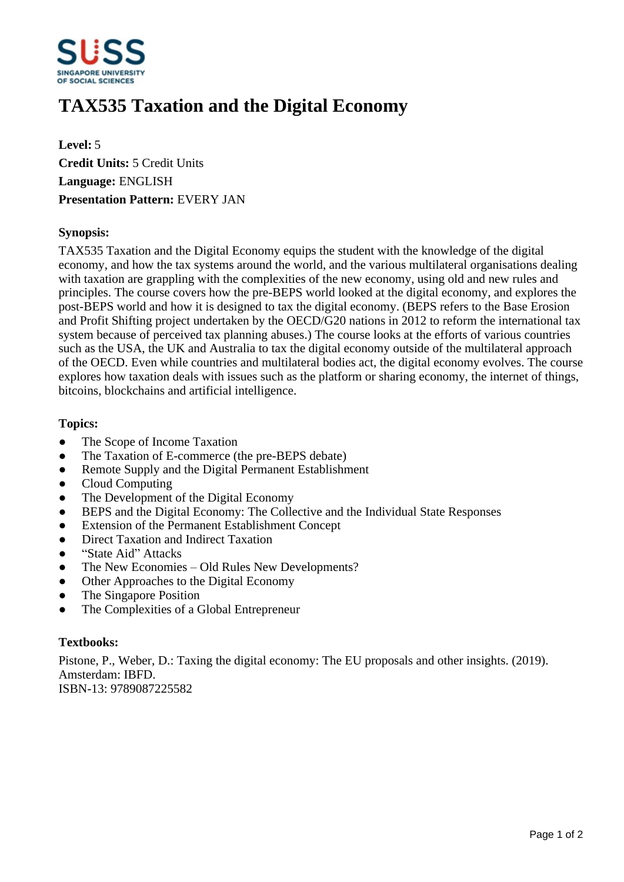

# **TAX535 Taxation and the Digital Economy**

**Level:** 5 **Credit Units:** 5 Credit Units **Language:** ENGLISH **Presentation Pattern:** EVERY JAN

## **Synopsis:**

TAX535 Taxation and the Digital Economy equips the student with the knowledge of the digital economy, and how the tax systems around the world, and the various multilateral organisations dealing with taxation are grappling with the complexities of the new economy, using old and new rules and principles. The course covers how the pre-BEPS world looked at the digital economy, and explores the post-BEPS world and how it is designed to tax the digital economy. (BEPS refers to the Base Erosion and Profit Shifting project undertaken by the OECD/G20 nations in 2012 to reform the international tax system because of perceived tax planning abuses.) The course looks at the efforts of various countries such as the USA, the UK and Australia to tax the digital economy outside of the multilateral approach of the OECD. Even while countries and multilateral bodies act, the digital economy evolves. The course explores how taxation deals with issues such as the platform or sharing economy, the internet of things, bitcoins, blockchains and artificial intelligence.

## **Topics:**

- The Scope of Income Taxation
- The Taxation of E-commerce (the pre-BEPS debate)
- Remote Supply and the Digital Permanent Establishment
- ƔCloud Computing
- The Development of the Digital Economy
- BEPS and the Digital Economy: The Collective and the Individual State Responses
- Extension of the Permanent Establishment Concept
- Direct Taxation and Indirect Taxation
- "State Aid" Attacks
- The New Economies Old Rules New Developments?
- Other Approaches to the Digital Economy
- The Singapore Position
- ƔThe Complexities of a Global Entrepreneur

#### **Textbooks:**

Pistone, P., Weber, D.: Taxing the digital economy: The EU proposals and other insights. (2019). Amsterdam: IBFD. ISBN-13: 9789087225582